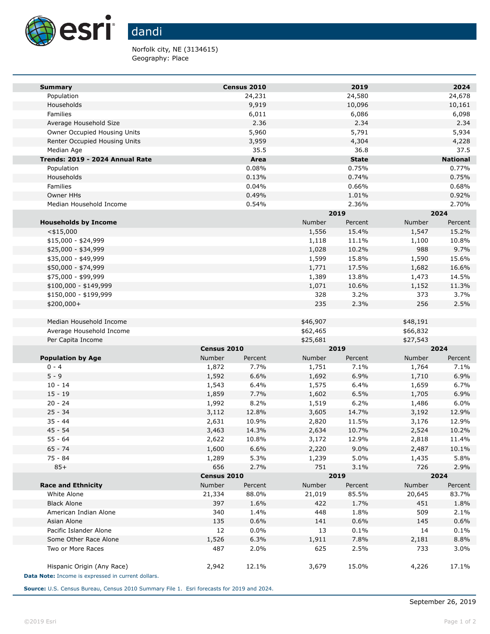

Norfolk city, NE (3134615) Geography: Place

| <b>Summary</b>                                                                   |                | Census 2010    |                | 2019           |                | 2024            |  |
|----------------------------------------------------------------------------------|----------------|----------------|----------------|----------------|----------------|-----------------|--|
| Population                                                                       |                | 24,231         |                | 24,580         |                | 24,678          |  |
| Households                                                                       |                | 9,919          |                | 10,096         |                | 10,161          |  |
| Families                                                                         |                | 6,011          |                | 6,086          |                | 6,098           |  |
| Average Household Size                                                           |                | 2.36           |                | 2.34           |                | 2.34            |  |
| Owner Occupied Housing Units                                                     |                | 5,960          |                | 5,791          |                | 5,934           |  |
| Renter Occupied Housing Units                                                    |                | 3,959          |                | 4,304          |                | 4,228           |  |
| Median Age                                                                       |                | 35.5           |                | 36.8           |                | 37.5            |  |
| Trends: 2019 - 2024 Annual Rate                                                  |                | Area           |                | <b>State</b>   |                | <b>National</b> |  |
| Population                                                                       |                | 0.08%          |                | 0.75%          |                | 0.77%           |  |
| Households<br>Families                                                           |                | 0.13%          |                | 0.74%          |                | 0.75%           |  |
| Owner HHs                                                                        |                | 0.04%<br>0.49% |                | 0.66%<br>1.01% |                | 0.68%<br>0.92%  |  |
| Median Household Income                                                          |                | 0.54%          |                | 2.36%          |                | 2.70%           |  |
|                                                                                  |                |                |                | 2019           |                | 2024            |  |
| <b>Households by Income</b>                                                      |                |                | Number         | Percent        | Number         | Percent         |  |
| $<$ \$15,000                                                                     |                |                | 1,556          | 15.4%          | 1,547          | 15.2%           |  |
| $$15,000 - $24,999$                                                              |                |                | 1,118          | 11.1%          | 1,100          | 10.8%           |  |
| \$25,000 - \$34,999                                                              |                |                | 1,028          | 10.2%          | 988            | 9.7%            |  |
| \$35,000 - \$49,999                                                              |                |                | 1,599          | 15.8%          | 1,590          | 15.6%           |  |
| \$50,000 - \$74,999                                                              |                |                | 1,771          | 17.5%          | 1,682          | 16.6%           |  |
| \$75,000 - \$99,999                                                              |                |                | 1,389          | 13.8%          | 1,473          | 14.5%           |  |
| $$100,000 - $149,999$                                                            |                |                | 1,071          | 10.6%          | 1,152          | 11.3%           |  |
| \$150,000 - \$199,999                                                            |                |                | 328            | 3.2%           | 373            | 3.7%            |  |
| \$200,000+                                                                       |                |                | 235            | 2.3%           | 256            | 2.5%            |  |
|                                                                                  |                |                |                |                |                |                 |  |
| Median Household Income                                                          |                |                | \$46,907       |                | \$48,191       |                 |  |
| Average Household Income                                                         |                |                | \$62,465       |                | \$66,832       |                 |  |
| Per Capita Income                                                                |                |                | \$25,681       |                | \$27,543       |                 |  |
|                                                                                  | Census 2010    |                | 2019           |                | 2024           |                 |  |
| <b>Population by Age</b>                                                         | Number         | Percent        | Number         | Percent        | Number         | Percent         |  |
| $0 - 4$                                                                          | 1,872          | 7.7%           | 1,751          | 7.1%           | 1,764          | 7.1%            |  |
| $5 - 9$                                                                          | 1,592          | 6.6%           | 1,692          | 6.9%           | 1,710          | 6.9%            |  |
| $10 - 14$                                                                        | 1,543          | 6.4%           | 1,575          | 6.4%           | 1,659          | 6.7%            |  |
| $15 - 19$<br>$20 - 24$                                                           | 1,859<br>1,992 | 7.7%<br>8.2%   | 1,602<br>1,519 | 6.5%<br>6.2%   | 1,705          | 6.9%<br>6.0%    |  |
| $25 - 34$                                                                        | 3,112          | 12.8%          | 3,605          | 14.7%          | 1,486<br>3,192 | 12.9%           |  |
| $35 - 44$                                                                        | 2,631          | 10.9%          | 2,820          | 11.5%          | 3,176          | 12.9%           |  |
| $45 - 54$                                                                        | 3,463          | 14.3%          | 2,634          | 10.7%          | 2,524          | 10.2%           |  |
| $55 - 64$                                                                        | 2,622          | 10.8%          | 3,172          | 12.9%          | 2,818          | 11.4%           |  |
| $65 - 74$                                                                        | 1,600          | 6.6%           | 2,220          | 9.0%           | 2,487          | 10.1%           |  |
| 75 - 84                                                                          | 1,289          | 5.3%           | 1,239          | 5.0%           | 1,435          | 5.8%            |  |
| $85+$                                                                            | 656            | 2.7%           | 751            | 3.1%           | 726            | 2.9%            |  |
|                                                                                  |                | Census 2010    |                | 2019           |                | 2024            |  |
| <b>Race and Ethnicity</b>                                                        | Number         | Percent        | Number         | Percent        | Number         | Percent         |  |
| White Alone                                                                      | 21,334         | 88.0%          | 21,019         | 85.5%          | 20,645         | 83.7%           |  |
| <b>Black Alone</b>                                                               | 397            | 1.6%           | 422            | 1.7%           | 451            | 1.8%            |  |
| American Indian Alone                                                            | 340            | 1.4%           | 448            | 1.8%           | 509            | 2.1%            |  |
| Asian Alone                                                                      | 135            | 0.6%           | 141            | 0.6%           | 145            | 0.6%            |  |
| Pacific Islander Alone                                                           | 12             | 0.0%           | 13             | 0.1%           | 14             | 0.1%            |  |
| Some Other Race Alone                                                            | 1,526          | 6.3%           | 1,911          | 7.8%           | 2,181          | 8.8%            |  |
| Two or More Races                                                                | 487            | 2.0%           | 625            | 2.5%           | 733            | 3.0%            |  |
| Hispanic Origin (Any Race)<br>Data Note: Income is expressed in current dollars. | 2,942          | 12.1%          | 3,679          | 15.0%          | 4,226          | 17.1%           |  |

**Source:** U.S. Census Bureau, Census 2010 Summary File 1. Esri forecasts for 2019 and 2024.